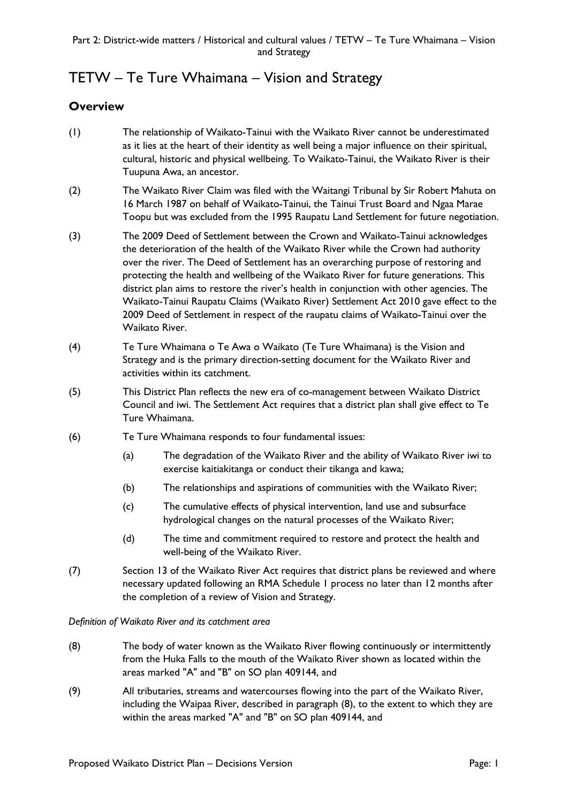# TETW – Te Ture Whaimana – Vision and Strategy

## **Overview**

- (1) The relationship of Waikato-Tainui with the Waikato River cannot be underestimated as it lies at the heart of their identity as well being a major influence on their spiritual, cultural, historic and physical wellbeing. To Waikato-Tainui, the Waikato River is their Tuupuna Awa, an ancestor.
- (2) The Waikato River Claim was filed with the Waitangi Tribunal by Sir Robert Mahuta on 16 March 1987 on behalf of Waikato-Tainui, the Tainui Trust Board and Ngaa Marae Toopu but was excluded from the 1995 Raupatu Land Settlement for future negotiation.
- (3) The 2009 Deed of Settlement between the Crown and Waikato-Tainui acknowledges the deterioration of the health of the Waikato River while the Crown had authority over the river. The Deed of Settlement has an overarching purpose of restoring and protecting the health and wellbeing of the Waikato River for future generations. This district plan aims to restore the river's health in conjunction with other agencies. The Waikato-Tainui Raupatu Claims (Waikato River) Settlement Act 2010 gave effect to the 2009 Deed of Settlement in respect of the raupatu claims of Waikato-Tainui over the Waikato River.
- (4) Te Ture Whaimana o Te Awa o Waikato (Te Ture Whaimana) is the Vision and Strategy and is the primary direction-setting document for the Waikato River and activities within its catchment.
- (5) This District Plan reflects the new era of co-management between Waikato District Council and iwi. The Settlement Act requires that a district plan shall give effect to Te Ture Whaimana.
- (6) Te Ture Whaimana responds to four fundamental issues:
	- (a) The degradation of the Waikato River and the ability of Waikato River iwi to exercise kaitiakitanga or conduct their tikanga and kawa;
	- (b) The relationships and aspirations of communities with the Waikato River;
	- (c) The cumulative effects of physical intervention, land use and subsurface hydrological changes on the natural processes of the Waikato River;
	- (d) The time and commitment required to restore and protect the health and well-being of the Waikato River.
- (7) Section 13 of the Waikato River Act requires that district plans be reviewed and where necessary updated following an RMA Schedule 1 process no later than 12 months after the completion of a review of Vision and Strategy.

*Definition of Waikato River and its catchment area*

- (8) The body of water known as the Waikato River flowing continuously or intermittently from the Huka Falls to the mouth of the Waikato River shown as located within the areas marked "A" and "B" on SO plan 409144, and
- (9) All tributaries, streams and watercourses flowing into the part of the Waikato River, including the Waipaa River, described in paragraph (8), to the extent to which they are within the areas marked "A" and "B" on SO plan 409144, and